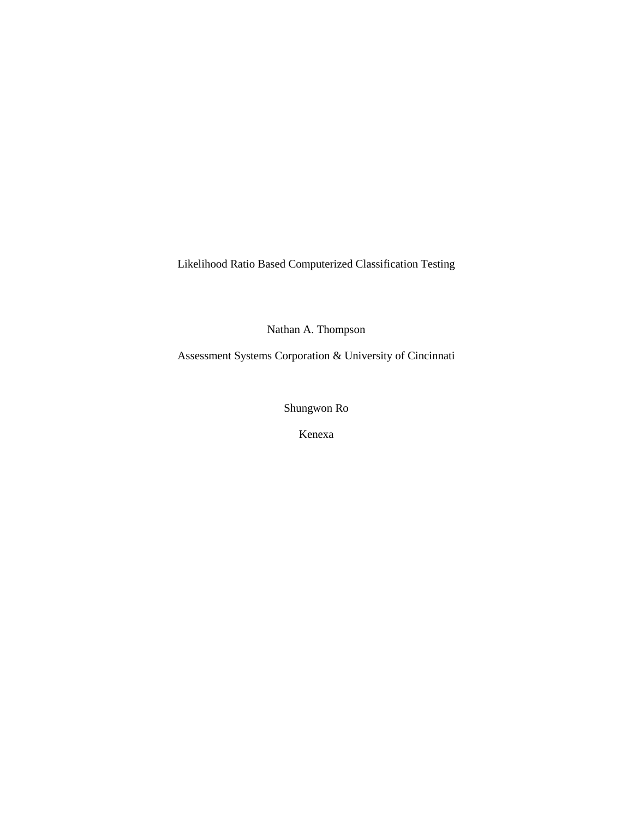Likelihood Ratio Based Computerized Classification Testing

Nathan A. Thompson

Assessment Systems Corporation & University of Cincinnati

Shungwon Ro

Kenexa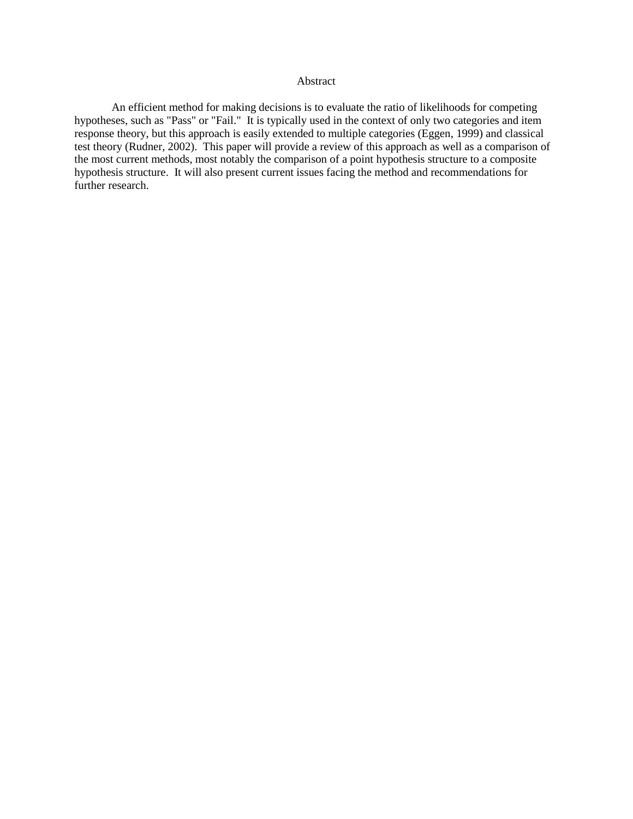# Abstract

An efficient method for making decisions is to evaluate the ratio of likelihoods for competing hypotheses, such as "Pass" or "Fail." It is typically used in the context of only two categories and item response theory, but this approach is easily extended to multiple categories (Eggen, 1999) and classical test theory (Rudner, 2002). This paper will provide a review of this approach as well as a comparison of the most current methods, most notably the comparison of a point hypothesis structure to a composite hypothesis structure. It will also present current issues facing the method and recommendations for further research.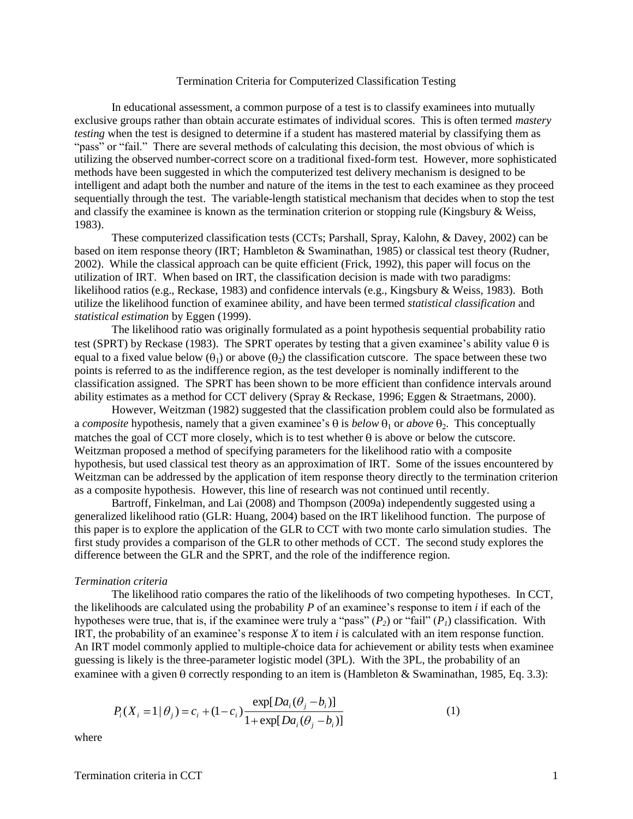## Termination Criteria for Computerized Classification Testing

In educational assessment, a common purpose of a test is to classify examinees into mutually exclusive groups rather than obtain accurate estimates of individual scores. This is often termed *mastery testing* when the test is designed to determine if a student has mastered material by classifying them as "pass" or "fail." There are several methods of calculating this decision, the most obvious of which is utilizing the observed number-correct score on a traditional fixed-form test. However, more sophisticated methods have been suggested in which the computerized test delivery mechanism is designed to be intelligent and adapt both the number and nature of the items in the test to each examinee as they proceed sequentially through the test. The variable-length statistical mechanism that decides when to stop the test and classify the examinee is known as the termination criterion or stopping rule (Kingsbury & Weiss, 1983).

These computerized classification tests (CCTs; Parshall, Spray, Kalohn, & Davey, 2002) can be based on item response theory (IRT; Hambleton & Swaminathan, 1985) or classical test theory (Rudner, 2002). While the classical approach can be quite efficient (Frick, 1992), this paper will focus on the utilization of IRT. When based on IRT, the classification decision is made with two paradigms: likelihood ratios (e.g., Reckase, 1983) and confidence intervals (e.g., Kingsbury & Weiss, 1983). Both utilize the likelihood function of examinee ability, and have been termed *statistical classification* and *statistical estimation* by Eggen (1999).

The likelihood ratio was originally formulated as a point hypothesis sequential probability ratio test (SPRT) by Reckase (1983). The SPRT operates by testing that a given examinee's ability value  $\theta$  is equal to a fixed value below  $(\theta_1)$  or above  $(\theta_2)$  the classification cutscore. The space between these two points is referred to as the indifference region, as the test developer is nominally indifferent to the classification assigned. The SPRT has been shown to be more efficient than confidence intervals around ability estimates as a method for CCT delivery (Spray & Reckase, 1996; Eggen & Straetmans, 2000).

However, Weitzman (1982) suggested that the classification problem could also be formulated as a *composite* hypothesis, namely that a given examinee's  $\theta$  is *below*  $\theta_1$  or *above*  $\theta_2$ . This conceptually matches the goal of CCT more closely, which is to test whether  $\theta$  is above or below the cutscore. Weitzman proposed a method of specifying parameters for the likelihood ratio with a composite hypothesis, but used classical test theory as an approximation of IRT. Some of the issues encountered by Weitzman can be addressed by the application of item response theory directly to the termination criterion as a composite hypothesis. However, this line of research was not continued until recently.

Bartroff, Finkelman, and Lai (2008) and Thompson (2009a) independently suggested using a generalized likelihood ratio (GLR: Huang, 2004) based on the IRT likelihood function. The purpose of this paper is to explore the application of the GLR to CCT with two monte carlo simulation studies. The first study provides a comparison of the GLR to other methods of CCT. The second study explores the difference between the GLR and the SPRT, and the role of the indifference region.

#### *Termination criteria*

The likelihood ratio compares the ratio of the likelihoods of two competing hypotheses. In CCT, the likelihoods are calculated using the probability *P* of an examinee's response to item *i* if each of the hypotheses were true, that is, if the examinee were truly a "pass"  $(P_2)$  or "fail"  $(P_1)$  classification. With IRT, the probability of an examinee's response *X* to item *i* is calculated with an item response function. An IRT model commonly applied to multiple-choice data for achievement or ability tests when examinee guessing is likely is the three-parameter logistic model (3PL). With the 3PL, the probability of an examinee with a given  $\theta$  correctly responding to an item is (Hambleton & Swaminathan, 1985, Eq. 3.3):

$$
P_i(X_i = 1 | \theta_j) = c_i + (1 - c_i) \frac{\exp[Da_i(\theta_j - b_i)]}{1 + \exp[Da_i(\theta_j - b_i)]}
$$
(1)

where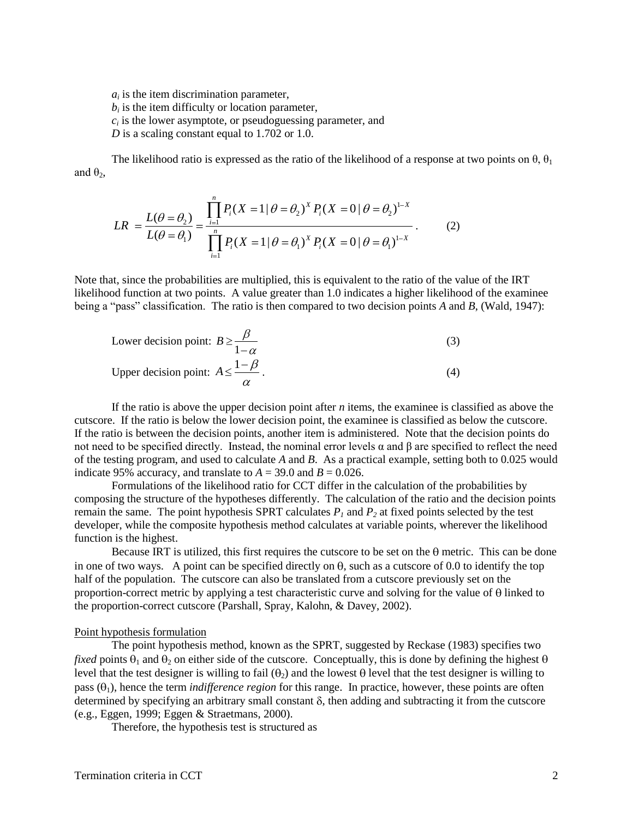$a_i$  is the item discrimination parameter,  $b_i$  is the item difficulty or location parameter,  $c_i$  is the lower asymptote, or pseudoguessing parameter, and *D* is a scaling constant equal to 1.702 or 1.0.

The likelihood ratio is expressed as the ratio of the likelihood of a response at two points on  $\theta$ ,  $\theta_1$ and  $θ_2$ ,

$$
LR = \frac{L(\theta = \theta_2)}{L(\theta = \theta_1)} = \frac{\prod_{i=1}^{n} P_i (X = 1 | \theta = \theta_2)^{X} P_i (X = 0 | \theta = \theta_2)^{1-X}}{\prod_{i=1}^{n} P_i (X = 1 | \theta = \theta_1)^{X} P_i (X = 0 | \theta = \theta_1)^{1-X}}.
$$
 (2)

Note that, since the probabilities are multiplied, this is equivalent to the ratio of the value of the IRT likelihood function at two points. A value greater than 1.0 indicates a higher likelihood of the examinee being a "pass" classification. The ratio is then compared to two decision points *A* and *B*, (Wald, 1947):

Lower decision point: 
$$
B \ge \frac{\beta}{1-\alpha}
$$
 (3)  
Upper decision point:  $A \le \frac{1-\beta}{\alpha}$ . (4)

If the ratio is above the upper decision point after *n* items, the examinee is classified as above the cutscore. If the ratio is below the lower decision point, the examinee is classified as below the cutscore. If the ratio is between the decision points, another item is administered. Note that the decision points do not need to be specified directly. Instead, the nominal error levels  $\alpha$  and β are specified to reflect the need of the testing program, and used to calculate *A* and *B*. As a practical example, setting both to 0.025 would indicate 95% accuracy, and translate to  $A = 39.0$  and  $B = 0.026$ .

Formulations of the likelihood ratio for CCT differ in the calculation of the probabilities by composing the structure of the hypotheses differently. The calculation of the ratio and the decision points remain the same. The point hypothesis SPRT calculates  $P<sub>1</sub>$  and  $P<sub>2</sub>$  at fixed points selected by the test developer, while the composite hypothesis method calculates at variable points, wherever the likelihood function is the highest.

Because IRT is utilized, this first requires the cutscore to be set on the  $\theta$  metric. This can be done in one of two ways. A point can be specified directly on  $\theta$ , such as a cutscore of 0.0 to identify the top half of the population. The cutscore can also be translated from a cutscore previously set on the proportion-correct metric by applying a test characteristic curve and solving for the value of  $\theta$  linked to the proportion-correct cutscore (Parshall, Spray, Kalohn, & Davey, 2002).

# Point hypothesis formulation

The point hypothesis method, known as the SPRT, suggested by Reckase (1983) specifies two *fixed* points  $\theta_1$  and  $\theta_2$  on either side of the cutscore. Conceptually, this is done by defining the highest  $\theta$ level that the test designer is willing to fail  $(\theta_2)$  and the lowest  $\theta$  level that the test designer is willing to pass  $(\theta_1)$ , hence the term *indifference region* for this range. In practice, however, these points are often determined by specifying an arbitrary small constant  $\delta$ , then adding and subtracting it from the cutscore (e.g., Eggen, 1999; Eggen & Straetmans, 2000).

Therefore, the hypothesis test is structured as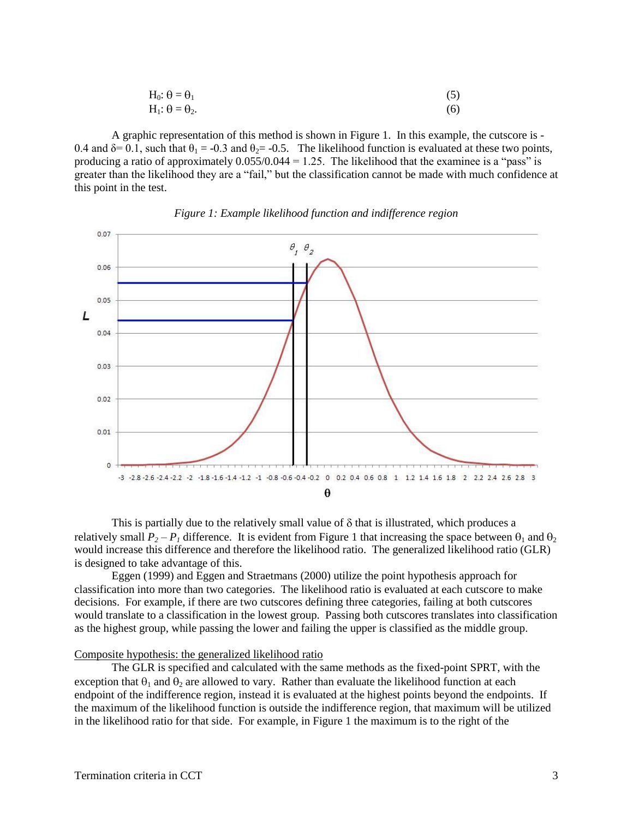$$
H_0: \theta = \theta_1
$$
  
\n
$$
H_1: \theta = \theta_2.
$$
\n(5)

A graphic representation of this method is shown in Figure 1. In this example, the cutscore is - 0.4 and  $\delta$ = 0.1, such that  $\theta_1$  = -0.3 and  $\theta_2$ = -0.5. The likelihood function is evaluated at these two points, producing a ratio of approximately  $0.055/0.044 = 1.25$ . The likelihood that the examinee is a "pass" is greater than the likelihood they are a "fail," but the classification cannot be made with much confidence at this point in the test.



## *Figure 1: Example likelihood function and indifference region*

This is partially due to the relatively small value of  $\delta$  that is illustrated, which produces a relatively small  $P_2 - P_1$  difference. It is evident from Figure 1 that increasing the space between  $\theta_1$  and  $\theta_2$ would increase this difference and therefore the likelihood ratio. The generalized likelihood ratio (GLR) is designed to take advantage of this.

Eggen (1999) and Eggen and Straetmans (2000) utilize the point hypothesis approach for classification into more than two categories. The likelihood ratio is evaluated at each cutscore to make decisions. For example, if there are two cutscores defining three categories, failing at both cutscores would translate to a classification in the lowest group. Passing both cutscores translates into classification as the highest group, while passing the lower and failing the upper is classified as the middle group.

# Composite hypothesis: the generalized likelihood ratio

The GLR is specified and calculated with the same methods as the fixed-point SPRT, with the exception that  $\theta_1$  and  $\theta_2$  are allowed to vary. Rather than evaluate the likelihood function at each endpoint of the indifference region, instead it is evaluated at the highest points beyond the endpoints. If the maximum of the likelihood function is outside the indifference region, that maximum will be utilized in the likelihood ratio for that side. For example, in Figure 1 the maximum is to the right of the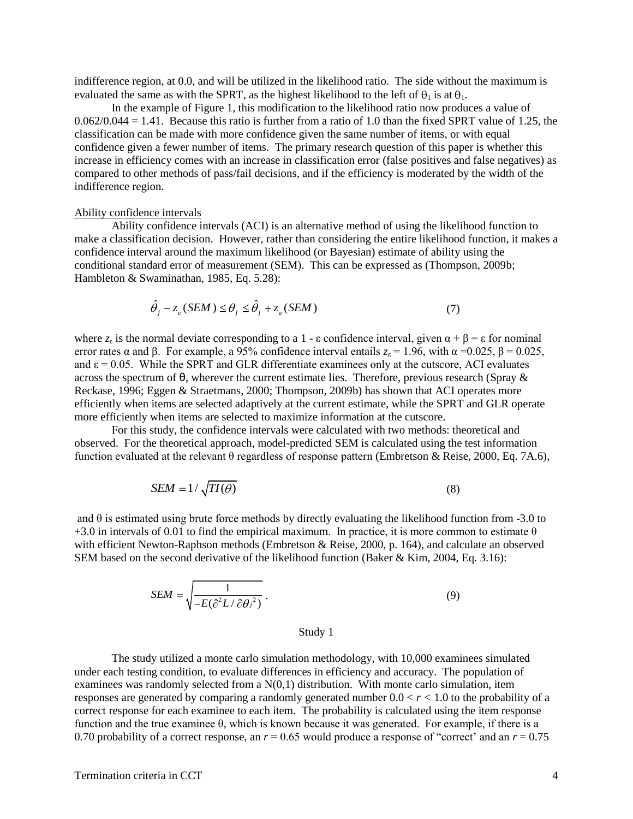indifference region, at 0.0, and will be utilized in the likelihood ratio. The side without the maximum is evaluated the same as with the SPRT, as the highest likelihood to the left of  $\theta_1$  is at  $\theta_1$ .

In the example of Figure 1, this modification to the likelihood ratio now produces a value of  $0.062/0.044 = 1.41$ . Because this ratio is further from a ratio of 1.0 than the fixed SPRT value of 1.25, the classification can be made with more confidence given the same number of items, or with equal confidence given a fewer number of items. The primary research question of this paper is whether this increase in efficiency comes with an increase in classification error (false positives and false negatives) as compared to other methods of pass/fail decisions, and if the efficiency is moderated by the width of the indifference region.

## Ability confidence intervals

Ability confidence intervals (ACI) is an alternative method of using the likelihood function to make a classification decision. However, rather than considering the entire likelihood function, it makes a confidence interval around the maximum likelihood (or Bayesian) estimate of ability using the conditional standard error of measurement (SEM). This can be expressed as (Thompson, 2009b; Hambleton & Swaminathan, 1985, Eq. 5.28):

$$
\hat{\theta}_j - z_{\varepsilon} (SEM) \le \theta_j \le \hat{\theta}_j + z_{\varepsilon} (SEM)
$$
\n(7)

where  $z_{\varepsilon}$  is the normal deviate corresponding to a 1 -  $\varepsilon$  confidence interval, given  $\alpha + \beta = \varepsilon$  for nominal error rates  $\alpha$  and  $\beta$ . For example, a 95% confidence interval entails  $z_{\epsilon} = 1.96$ , with  $\alpha = 0.025$ ,  $\beta = 0.025$ , and  $\epsilon$  = 0.05. While the SPRT and GLR differentiate examinees only at the cutscore, ACI evaluates across the spectrum of θ, wherever the current estimate lies. Therefore, previous research (Spray & Reckase, 1996; Eggen & Straetmans, 2000; Thompson, 2009b) has shown that ACI operates more efficiently when items are selected adaptively at the current estimate, while the SPRT and GLR operate more efficiently when items are selected to maximize information at the cutscore.

For this study, the confidence intervals were calculated with two methods: theoretical and observed. For the theoretical approach, model-predicted SEM is calculated using the test information function evaluated at the relevant θ regardless of response pattern (Embretson & Reise, 2000, Eq. 7A.6),

$$
SEM = 1/\sqrt{TI(\theta)}\tag{8}
$$

and  $\theta$  is estimated using brute force methods by directly evaluating the likelihood function from -3.0 to +3.0 in intervals of 0.01 to find the empirical maximum. In practice, it is more common to estimate  $\theta$ with efficient Newton-Raphson methods (Embretson & Reise, 2000, p. 164), and calculate an observed SEM based on the second derivative of the likelihood function (Baker & Kim, 2004, Eq. 3.16):

$$
SEM = \sqrt{\frac{1}{-E(\partial^2 L/\partial \theta_j^2)}}.
$$
\n(9)

#### Study 1

The study utilized a monte carlo simulation methodology, with 10,000 examinees simulated under each testing condition, to evaluate differences in efficiency and accuracy. The population of examinees was randomly selected from a  $N(0,1)$  distribution. With monte carlo simulation, item responses are generated by comparing a randomly generated number  $0.0 < r < 1.0$  to the probability of a correct response for each examinee to each item. The probability is calculated using the item response function and the true examinee θ, which is known because it was generated. For example, if there is a 0.70 probability of a correct response, an  $r = 0.65$  would produce a response of "correct" and an  $r = 0.75$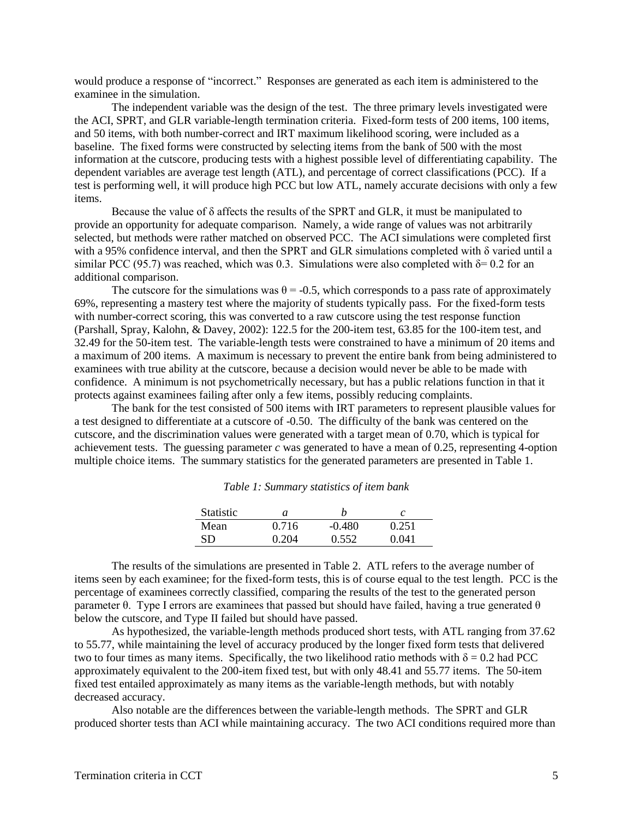would produce a response of "incorrect." Responses are generated as each item is administered to the examinee in the simulation.

The independent variable was the design of the test. The three primary levels investigated were the ACI, SPRT, and GLR variable-length termination criteria. Fixed-form tests of 200 items, 100 items, and 50 items, with both number-correct and IRT maximum likelihood scoring, were included as a baseline. The fixed forms were constructed by selecting items from the bank of 500 with the most information at the cutscore, producing tests with a highest possible level of differentiating capability. The dependent variables are average test length (ATL), and percentage of correct classifications (PCC). If a test is performing well, it will produce high PCC but low ATL, namely accurate decisions with only a few items.

Because the value of δ affects the results of the SPRT and GLR, it must be manipulated to provide an opportunity for adequate comparison. Namely, a wide range of values was not arbitrarily selected, but methods were rather matched on observed PCC. The ACI simulations were completed first with a 95% confidence interval, and then the SPRT and GLR simulations completed with δ varied until a similar PCC (95.7) was reached, which was 0.3. Simulations were also completed with  $\delta$ = 0.2 for an additional comparison.

The cutscore for the simulations was  $\theta = -0.5$ , which corresponds to a pass rate of approximately 69%, representing a mastery test where the majority of students typically pass. For the fixed-form tests with number-correct scoring, this was converted to a raw cutscore using the test response function (Parshall, Spray, Kalohn, & Davey, 2002): 122.5 for the 200-item test, 63.85 for the 100-item test, and 32.49 for the 50-item test. The variable-length tests were constrained to have a minimum of 20 items and a maximum of 200 items. A maximum is necessary to prevent the entire bank from being administered to examinees with true ability at the cutscore, because a decision would never be able to be made with confidence. A minimum is not psychometrically necessary, but has a public relations function in that it protects against examinees failing after only a few items, possibly reducing complaints.

The bank for the test consisted of 500 items with IRT parameters to represent plausible values for a test designed to differentiate at a cutscore of -0.50. The difficulty of the bank was centered on the cutscore, and the discrimination values were generated with a target mean of 0.70, which is typical for achievement tests. The guessing parameter *c* was generated to have a mean of 0.25, representing 4-option multiple choice items. The summary statistics for the generated parameters are presented in Table 1.

| Table 1: Summary statistics of item bank |
|------------------------------------------|
|------------------------------------------|

| <b>Statistic</b> | а     |          |       |
|------------------|-------|----------|-------|
| Mean             | 0.716 | $-0.480$ | 0.251 |
| <b>SD</b>        | 0.204 | 0.552    | 0.041 |

The results of the simulations are presented in Table 2. ATL refers to the average number of items seen by each examinee; for the fixed-form tests, this is of course equal to the test length. PCC is the percentage of examinees correctly classified, comparing the results of the test to the generated person parameter  $\theta$ . Type I errors are examinees that passed but should have failed, having a true generated  $\theta$ below the cutscore, and Type II failed but should have passed.

As hypothesized, the variable-length methods produced short tests, with ATL ranging from 37.62 to 55.77, while maintaining the level of accuracy produced by the longer fixed form tests that delivered two to four times as many items. Specifically, the two likelihood ratio methods with  $\delta = 0.2$  had PCC approximately equivalent to the 200-item fixed test, but with only 48.41 and 55.77 items. The 50-item fixed test entailed approximately as many items as the variable-length methods, but with notably decreased accuracy.

Also notable are the differences between the variable-length methods. The SPRT and GLR produced shorter tests than ACI while maintaining accuracy. The two ACI conditions required more than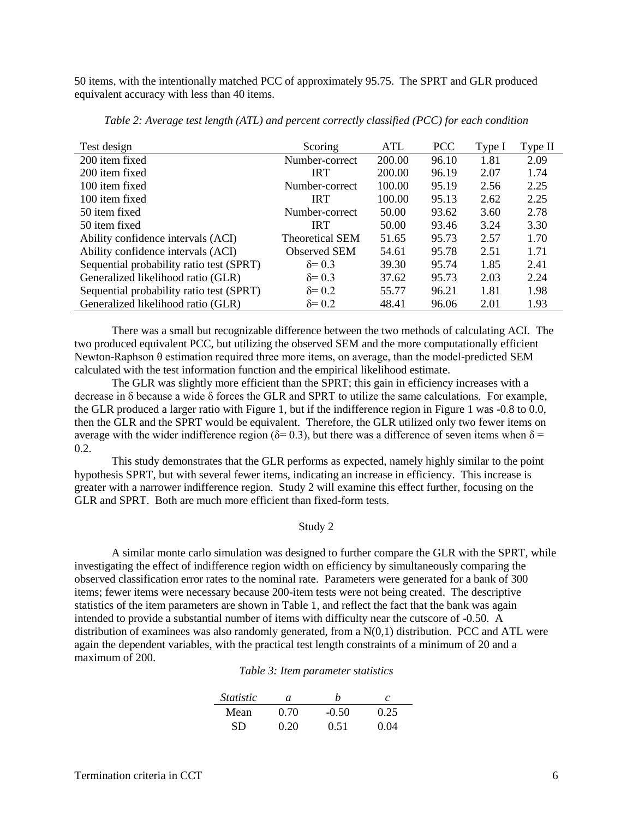50 items, with the intentionally matched PCC of approximately 95.75. The SPRT and GLR produced equivalent accuracy with less than 40 items.

| Test design                              | Scoring                | ATL    | <b>PCC</b> | Type I | Type II |
|------------------------------------------|------------------------|--------|------------|--------|---------|
| 200 item fixed                           | Number-correct         | 200.00 | 96.10      | 1.81   | 2.09    |
| 200 item fixed                           | <b>IRT</b>             | 200.00 | 96.19      | 2.07   | 1.74    |
| 100 item fixed                           | Number-correct         | 100.00 | 95.19      | 2.56   | 2.25    |
| 100 item fixed                           | <b>IRT</b>             | 100.00 | 95.13      | 2.62   | 2.25    |
| 50 item fixed                            | Number-correct         | 50.00  | 93.62      | 3.60   | 2.78    |
| 50 item fixed                            | <b>IRT</b>             | 50.00  | 93.46      | 3.24   | 3.30    |
| Ability confidence intervals (ACI)       | <b>Theoretical SEM</b> | 51.65  | 95.73      | 2.57   | 1.70    |
| Ability confidence intervals (ACI)       | <b>Observed SEM</b>    | 54.61  | 95.78      | 2.51   | 1.71    |
| Sequential probability ratio test (SPRT) | $\delta = 0.3$         | 39.30  | 95.74      | 1.85   | 2.41    |
| Generalized likelihood ratio (GLR)       | $\delta = 0.3$         | 37.62  | 95.73      | 2.03   | 2.24    |
| Sequential probability ratio test (SPRT) | $\delta = 0.2$         | 55.77  | 96.21      | 1.81   | 1.98    |
| Generalized likelihood ratio (GLR)       | $\delta = 0.2$         | 48.41  | 96.06      | 2.01   | 1.93    |

*Table 2: Average test length (ATL) and percent correctly classified (PCC) for each condition*

There was a small but recognizable difference between the two methods of calculating ACI. The two produced equivalent PCC, but utilizing the observed SEM and the more computationally efficient Newton-Raphson θ estimation required three more items, on average, than the model-predicted SEM calculated with the test information function and the empirical likelihood estimate.

The GLR was slightly more efficient than the SPRT; this gain in efficiency increases with a decrease in δ because a wide δ forces the GLR and SPRT to utilize the same calculations. For example, the GLR produced a larger ratio with Figure 1, but if the indifference region in Figure 1 was -0.8 to 0.0, then the GLR and the SPRT would be equivalent. Therefore, the GLR utilized only two fewer items on average with the wider indifference region ( $\delta$ = 0.3), but there was a difference of seven items when  $\delta$  = 0.2.

This study demonstrates that the GLR performs as expected, namely highly similar to the point hypothesis SPRT, but with several fewer items, indicating an increase in efficiency. This increase is greater with a narrower indifference region. Study 2 will examine this effect further, focusing on the GLR and SPRT. Both are much more efficient than fixed-form tests.

## Study 2

A similar monte carlo simulation was designed to further compare the GLR with the SPRT, while investigating the effect of indifference region width on efficiency by simultaneously comparing the observed classification error rates to the nominal rate. Parameters were generated for a bank of 300 items; fewer items were necessary because 200-item tests were not being created. The descriptive statistics of the item parameters are shown in Table 1, and reflect the fact that the bank was again intended to provide a substantial number of items with difficulty near the cutscore of -0.50. A distribution of examinees was also randomly generated, from a  $N(0,1)$  distribution. PCC and ATL were again the dependent variables, with the practical test length constraints of a minimum of 20 and a maximum of 200.

*Table 3: Item parameter statistics*

| <i>Statistic</i> | а    | h       | C    |
|------------------|------|---------|------|
| Mean             | 0.70 | $-0.50$ | 0.25 |
| SD               | 0.20 | 0.51    | 0.04 |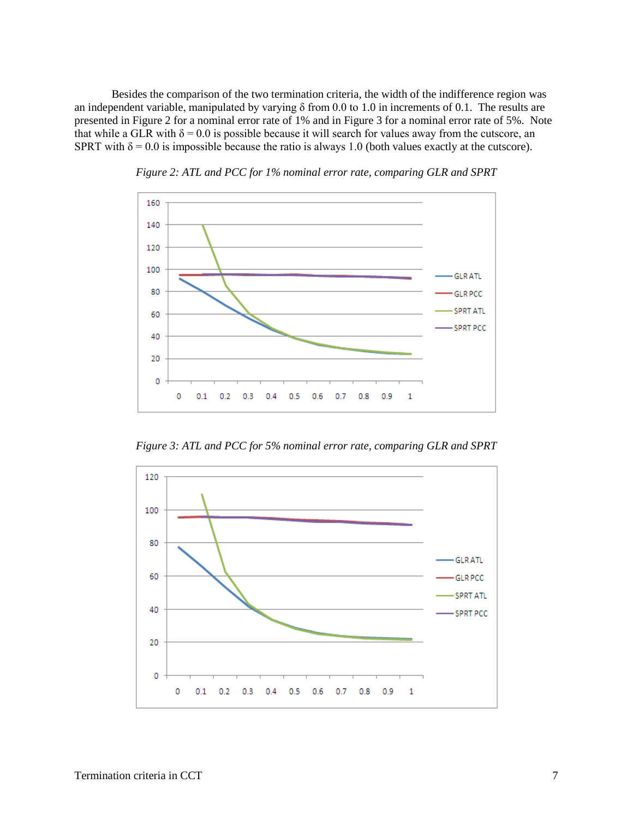Besides the comparison of the two termination criteria, the width of the indifference region was an independent variable, manipulated by varying  $\delta$  from 0.0 to 1.0 in increments of 0.1. The results are presented in Figure 2 for a nominal error rate of 1% and in Figure 3 for a nominal error rate of 5%. Note that while a GLR with  $\delta = 0.0$  is possible because it will search for values away from the cutscore, an SPRT with  $\delta = 0.0$  is impossible because the ratio is always 1.0 (both values exactly at the cutscore).



*Figure 2: ATL and PCC for 1% nominal error rate, comparing GLR and SPRT*

*Figure 3: ATL and PCC for 5% nominal error rate, comparing GLR and SPRT*

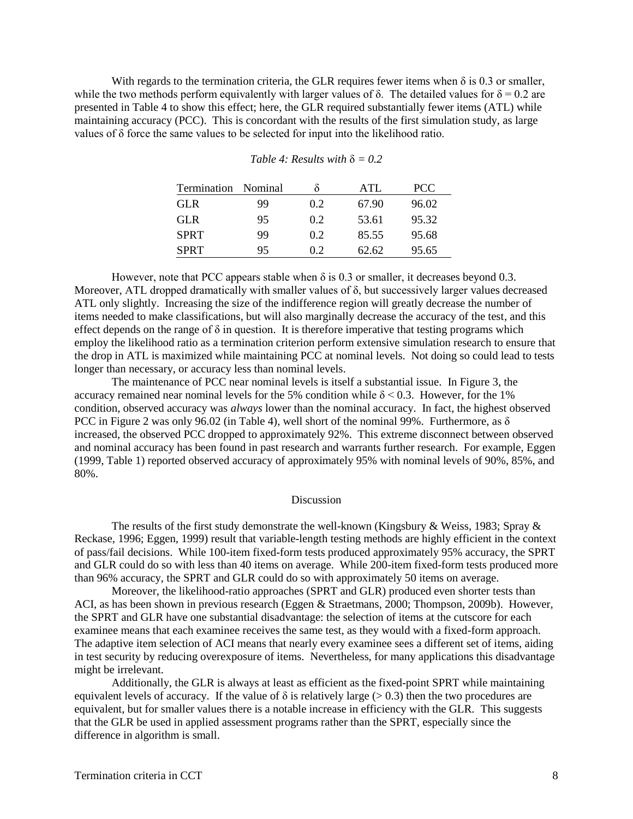With regards to the termination criteria, the GLR requires fewer items when  $\delta$  is 0.3 or smaller, while the two methods perform equivalently with larger values of  $\delta$ . The detailed values for  $\delta = 0.2$  are presented in Table 4 to show this effect; here, the GLR required substantially fewer items (ATL) while maintaining accuracy (PCC). This is concordant with the results of the first simulation study, as large values of δ force the same values to be selected for input into the likelihood ratio.

| Termination | Nominal |     | ATL   | <b>PCC</b> |
|-------------|---------|-----|-------|------------|
| GL R        | 99      | 0.2 | 67.90 | 96.02      |
| GL R        | 95      | 0.2 | 53.61 | 95.32      |
| <b>SPRT</b> | 99      | 0.2 | 85.55 | 95.68      |
| <b>SPRT</b> | 95      | 02  | 62.62 | 95.65      |

| Table 4: Results with $\delta = 0.2$ |  |
|--------------------------------------|--|
|--------------------------------------|--|

However, note that PCC appears stable when  $\delta$  is 0.3 or smaller, it decreases beyond 0.3. Moreover, ATL dropped dramatically with smaller values of δ, but successively larger values decreased ATL only slightly. Increasing the size of the indifference region will greatly decrease the number of items needed to make classifications, but will also marginally decrease the accuracy of the test, and this effect depends on the range of  $\delta$  in question. It is therefore imperative that testing programs which employ the likelihood ratio as a termination criterion perform extensive simulation research to ensure that the drop in ATL is maximized while maintaining PCC at nominal levels. Not doing so could lead to tests longer than necessary, or accuracy less than nominal levels.

The maintenance of PCC near nominal levels is itself a substantial issue. In Figure 3, the accuracy remained near nominal levels for the 5% condition while  $\delta$  < 0.3. However, for the 1% condition, observed accuracy was *always* lower than the nominal accuracy. In fact, the highest observed PCC in Figure 2 was only 96.02 (in Table 4), well short of the nominal 99%. Furthermore, as δ increased, the observed PCC dropped to approximately 92%. This extreme disconnect between observed and nominal accuracy has been found in past research and warrants further research. For example, Eggen (1999, Table 1) reported observed accuracy of approximately 95% with nominal levels of 90%, 85%, and 80%.

## **Discussion**

The results of the first study demonstrate the well-known (Kingsbury & Weiss, 1983; Spray & Reckase, 1996; Eggen, 1999) result that variable-length testing methods are highly efficient in the context of pass/fail decisions. While 100-item fixed-form tests produced approximately 95% accuracy, the SPRT and GLR could do so with less than 40 items on average. While 200-item fixed-form tests produced more than 96% accuracy, the SPRT and GLR could do so with approximately 50 items on average.

Moreover, the likelihood-ratio approaches (SPRT and GLR) produced even shorter tests than ACI, as has been shown in previous research (Eggen & Straetmans, 2000; Thompson, 2009b). However, the SPRT and GLR have one substantial disadvantage: the selection of items at the cutscore for each examinee means that each examinee receives the same test, as they would with a fixed-form approach. The adaptive item selection of ACI means that nearly every examinee sees a different set of items, aiding in test security by reducing overexposure of items. Nevertheless, for many applications this disadvantage might be irrelevant.

Additionally, the GLR is always at least as efficient as the fixed-point SPRT while maintaining equivalent levels of accuracy. If the value of  $\delta$  is relatively large ( $> 0.3$ ) then the two procedures are equivalent, but for smaller values there is a notable increase in efficiency with the GLR. This suggests that the GLR be used in applied assessment programs rather than the SPRT, especially since the difference in algorithm is small.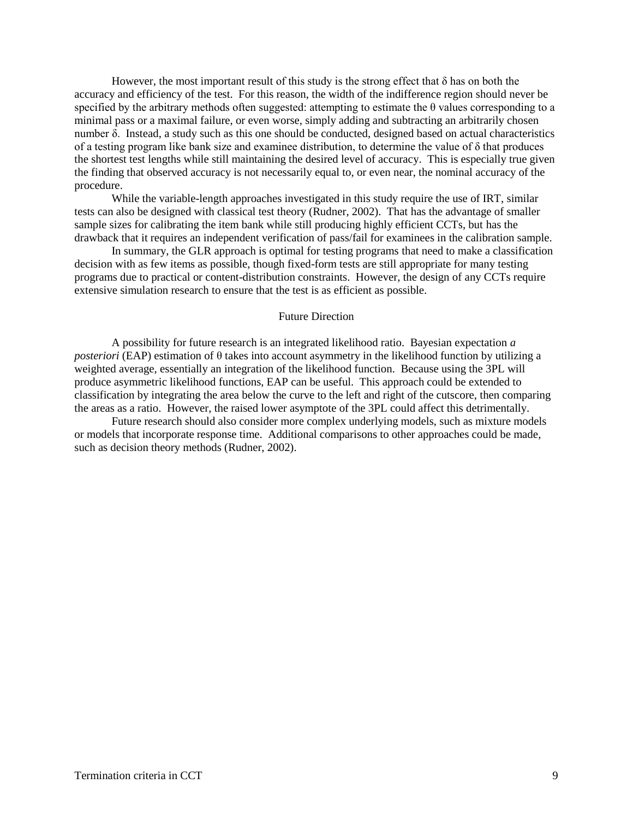However, the most important result of this study is the strong effect that  $\delta$  has on both the accuracy and efficiency of the test. For this reason, the width of the indifference region should never be specified by the arbitrary methods often suggested: attempting to estimate the  $\theta$  values corresponding to a minimal pass or a maximal failure, or even worse, simply adding and subtracting an arbitrarily chosen number δ. Instead, a study such as this one should be conducted, designed based on actual characteristics of a testing program like bank size and examinee distribution, to determine the value of  $\delta$  that produces the shortest test lengths while still maintaining the desired level of accuracy. This is especially true given the finding that observed accuracy is not necessarily equal to, or even near, the nominal accuracy of the procedure.

While the variable-length approaches investigated in this study require the use of IRT, similar tests can also be designed with classical test theory (Rudner, 2002). That has the advantage of smaller sample sizes for calibrating the item bank while still producing highly efficient CCTs, but has the drawback that it requires an independent verification of pass/fail for examinees in the calibration sample.

In summary, the GLR approach is optimal for testing programs that need to make a classification decision with as few items as possible, though fixed-form tests are still appropriate for many testing programs due to practical or content-distribution constraints. However, the design of any CCTs require extensive simulation research to ensure that the test is as efficient as possible.

#### Future Direction

A possibility for future research is an integrated likelihood ratio. Bayesian expectation *a posteriori* (EAP) estimation of θ takes into account asymmetry in the likelihood function by utilizing a weighted average, essentially an integration of the likelihood function. Because using the 3PL will produce asymmetric likelihood functions, EAP can be useful. This approach could be extended to classification by integrating the area below the curve to the left and right of the cutscore, then comparing the areas as a ratio. However, the raised lower asymptote of the 3PL could affect this detrimentally.

Future research should also consider more complex underlying models, such as mixture models or models that incorporate response time. Additional comparisons to other approaches could be made, such as decision theory methods (Rudner, 2002).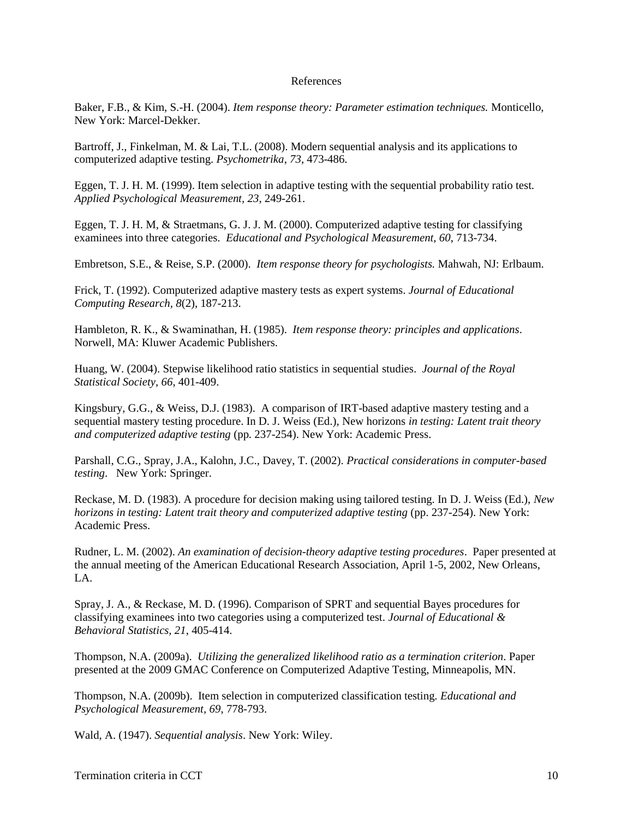# References

Baker, F.B., & Kim, S.-H. (2004). *Item response theory: Parameter estimation techniques.* Monticello, New York: Marcel-Dekker.

Bartroff, J., Finkelman, M. & Lai, T.L. (2008). Modern sequential analysis and its applications to computerized adaptive testing. *Psychometrika*, *73*, 473-486.

Eggen, T. J. H. M. (1999). Item selection in adaptive testing with the sequential probability ratio test. *Applied Psychological Measurement, 23*, 249-261.

Eggen, T. J. H. M, & Straetmans, G. J. J. M. (2000). Computerized adaptive testing for classifying examinees into three categories. *Educational and Psychological Measurement, 60*, 713-734.

Embretson, S.E., & Reise, S.P. (2000). *Item response theory for psychologists.* Mahwah, NJ: Erlbaum.

Frick, T. (1992). [Computerized adaptive mastery tests as expert systems.](http://www.indiana.edu/~tedfrick/cat/exsprt92.pdf) *Journal of Educational Computing Research, 8*(2), 187-213.

Hambleton, R. K., & Swaminathan, H. (1985). *Item response theory: principles and applications*. Norwell, MA: Kluwer Academic Publishers.

Huang, W. (2004). Stepwise likelihood ratio statistics in sequential studies. *Journal of the Royal Statistical Society, 66*, 401-409.

Kingsbury, G.G., & Weiss, D.J. (1983). A comparison of IRT-based adaptive mastery testing and a sequential mastery testing procedure. In D. J. Weiss (Ed.), New horizons *in testing: Latent trait theory and computerized adaptive testing* (pp. 237-254). New York: Academic Press.

Parshall, C.G., Spray, J.A., Kalohn, J.C., Davey, T. (2002). *Practical considerations in computer-based testing*. New York: Springer.

Reckase, M. D. (1983). A procedure for decision making using tailored testing. In D. J. Weiss (Ed.), *New horizons in testing: Latent trait theory and computerized adaptive testing* (pp. 237-254). New York: Academic Press.

Rudner, L. M. (2002). *An examination of decision-theory adaptive testing procedures*. Paper presented at the annual meeting of the American Educational Research Association, April 1-5, 2002, New Orleans, LA.

Spray, J. A., & Reckase, M. D. (1996). Comparison of SPRT and sequential Bayes procedures for classifying examinees into two categories using a computerized test. *Journal of Educational & Behavioral Statistics, 21*, 405-414.

Thompson, N.A. (2009a). *Utilizing the generalized likelihood ratio as a termination criterion*. Paper presented at the 2009 GMAC Conference on Computerized Adaptive Testing, Minneapolis, MN.

Thompson, N.A. (2009b). Item selection in computerized classification testing. *Educational and Psychological Measurement, 69*, 778-793.

Wald, A. (1947). *Sequential analysis*. New York: Wiley.